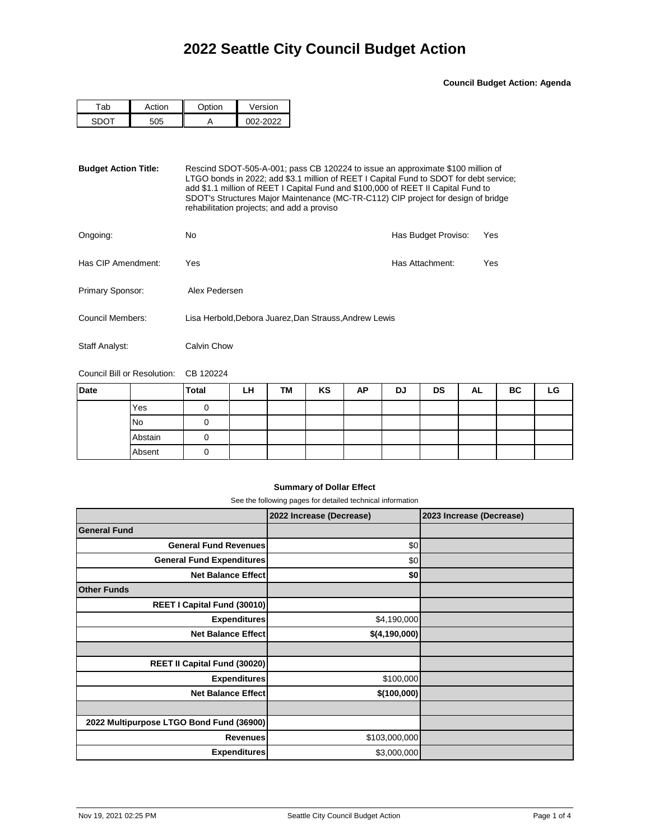**Council Budget Action: Agenda**

| ∾i∩n | $\sim$ tion | Version |
|------|-------------|---------|
|      |             | מממ     |

**Budget Action Title:** Rescind SDOT-505-A-001; pass CB 120224 to issue an approximate \$100 million of LTGO bonds in 2022; add \$3.1 million of REET I Capital Fund to SDOT for debt service; add \$1.1 million of REET I Capital Fund and \$100,000 of REET II Capital Fund to SDOT's Structures Major Maintenance (MC-TR-C112) CIP project for design of bridge rehabilitation projects; and add a proviso

| Ongoing:           | No                                                     | Has Budget Proviso: | Yes |
|--------------------|--------------------------------------------------------|---------------------|-----|
| Has CIP Amendment: | Yes                                                    | Has Attachment:     | Yes |
| Primary Sponsor:   | Alex Pedersen                                          |                     |     |
| Council Members:   | Lisa Herbold, Debora Juarez, Dan Strauss, Andrew Lewis |                     |     |

Staff Analyst: Calvin Chow

Council Bill or Resolution: CB 120224

| Date |         | <b>Total</b> | LH | TM | KS | AP | DJ | <b>DS</b> | AL | BC | LG |
|------|---------|--------------|----|----|----|----|----|-----------|----|----|----|
|      | Yes     |              |    |    |    |    |    |           |    |    |    |
|      | No      |              |    |    |    |    |    |           |    |    |    |
|      | Abstain |              |    |    |    |    |    |           |    |    |    |
|      | Absent  |              |    |    |    |    |    |           |    |    |    |

## **Summary of Dollar Effect**

See the following pages for detailed technical information

|                                          | 2022 Increase (Decrease) | 2023 Increase (Decrease) |
|------------------------------------------|--------------------------|--------------------------|
| <b>General Fund</b>                      |                          |                          |
| <b>General Fund Revenues</b>             | \$0                      |                          |
| <b>General Fund Expenditures</b>         | \$0                      |                          |
| <b>Net Balance Effect</b>                | \$0 <sub>1</sub>         |                          |
| <b>Other Funds</b>                       |                          |                          |
| REET I Capital Fund (30010)              |                          |                          |
| <b>Expenditures</b>                      | \$4,190,000              |                          |
| <b>Net Balance Effect</b>                | \$(4,190,000)            |                          |
|                                          |                          |                          |
| <b>REET II Capital Fund (30020)</b>      |                          |                          |
| <b>Expenditures</b>                      | \$100,000                |                          |
| <b>Net Balance Effect</b>                | \$(100,000)              |                          |
|                                          |                          |                          |
| 2022 Multipurpose LTGO Bond Fund (36900) |                          |                          |
| <b>Revenues</b>                          | \$103,000,000            |                          |
| <b>Expenditures</b>                      | \$3,000,000              |                          |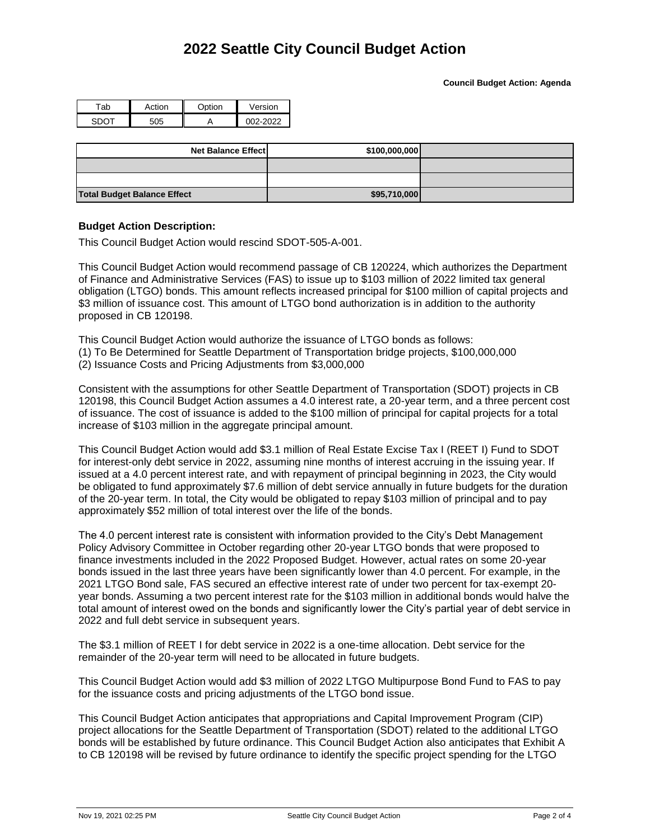## **2022 Seattle City Council Budget Action**

**Council Budget Action: Agenda**

| ⌒   | rti∩n | ∩ntion ∴ | Version |
|-----|-------|----------|---------|
| - 1 |       |          | רי∩     |

| <b>Net Balance Effect</b>          | \$100,000,000 |  |
|------------------------------------|---------------|--|
|                                    |               |  |
|                                    |               |  |
| <b>Total Budget Balance Effect</b> | \$95,710,000  |  |

## **Budget Action Description:**

This Council Budget Action would rescind SDOT-505-A-001.

This Council Budget Action would recommend passage of CB 120224, which authorizes the Department of Finance and Administrative Services (FAS) to issue up to \$103 million of 2022 limited tax general obligation (LTGO) bonds. This amount reflects increased principal for \$100 million of capital projects and \$3 million of issuance cost. This amount of LTGO bond authorization is in addition to the authority proposed in CB 120198.

This Council Budget Action would authorize the issuance of LTGO bonds as follows:

(1) To Be Determined for Seattle Department of Transportation bridge projects, \$100,000,000

(2) Issuance Costs and Pricing Adjustments from \$3,000,000

Consistent with the assumptions for other Seattle Department of Transportation (SDOT) projects in CB 120198, this Council Budget Action assumes a 4.0 interest rate, a 20-year term, and a three percent cost of issuance. The cost of issuance is added to the \$100 million of principal for capital projects for a total increase of \$103 million in the aggregate principal amount.

This Council Budget Action would add \$3.1 million of Real Estate Excise Tax I (REET I) Fund to SDOT for interest-only debt service in 2022, assuming nine months of interest accruing in the issuing year. If issued at a 4.0 percent interest rate, and with repayment of principal beginning in 2023, the City would be obligated to fund approximately \$7.6 million of debt service annually in future budgets for the duration of the 20-year term. In total, the City would be obligated to repay \$103 million of principal and to pay approximately \$52 million of total interest over the life of the bonds.

The 4.0 percent interest rate is consistent with information provided to the City's Debt Management Policy Advisory Committee in October regarding other 20-year LTGO bonds that were proposed to finance investments included in the 2022 Proposed Budget. However, actual rates on some 20-year bonds issued in the last three years have been significantly lower than 4.0 percent. For example, in the 2021 LTGO Bond sale, FAS secured an effective interest rate of under two percent for tax-exempt 20 year bonds. Assuming a two percent interest rate for the \$103 million in additional bonds would halve the total amount of interest owed on the bonds and significantly lower the City's partial year of debt service in 2022 and full debt service in subsequent years.

The \$3.1 million of REET I for debt service in 2022 is a one-time allocation. Debt service for the remainder of the 20-year term will need to be allocated in future budgets.

This Council Budget Action would add \$3 million of 2022 LTGO Multipurpose Bond Fund to FAS to pay for the issuance costs and pricing adjustments of the LTGO bond issue.

This Council Budget Action anticipates that appropriations and Capital Improvement Program (CIP) project allocations for the Seattle Department of Transportation (SDOT) related to the additional LTGO bonds will be established by future ordinance. This Council Budget Action also anticipates that Exhibit A to CB 120198 will be revised by future ordinance to identify the specific project spending for the LTGO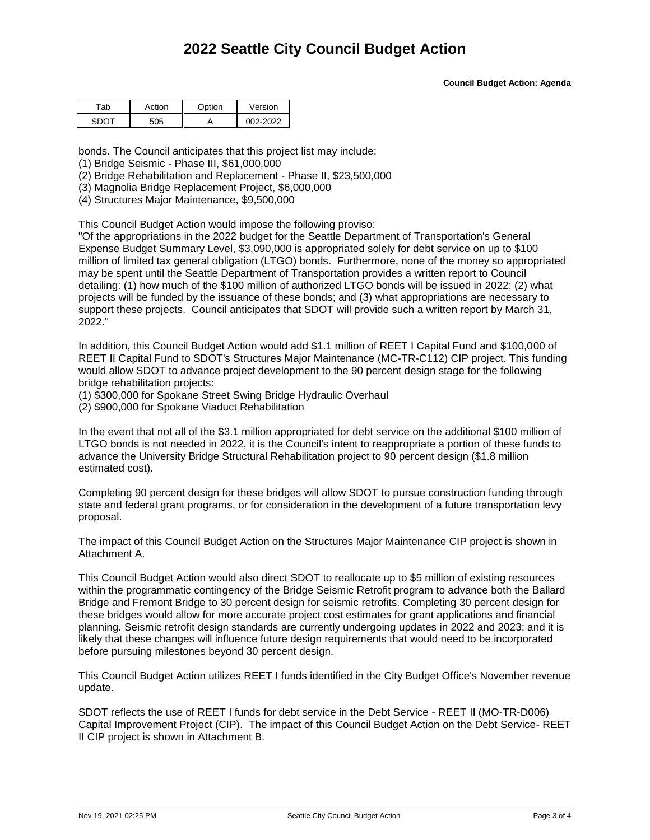**Council Budget Action: Agenda**

| ัก | ction | O <sub>min</sub> | ersion |
|----|-------|------------------|--------|
|    |       |                  |        |

bonds. The Council anticipates that this project list may include:

(1) Bridge Seismic - Phase III, \$61,000,000

(2) Bridge Rehabilitation and Replacement - Phase II, \$23,500,000

(3) Magnolia Bridge Replacement Project, \$6,000,000

(4) Structures Major Maintenance, \$9,500,000

This Council Budget Action would impose the following proviso:

"Of the appropriations in the 2022 budget for the Seattle Department of Transportation's General Expense Budget Summary Level, \$3,090,000 is appropriated solely for debt service on up to \$100 million of limited tax general obligation (LTGO) bonds. Furthermore, none of the money so appropriated may be spent until the Seattle Department of Transportation provides a written report to Council detailing: (1) how much of the \$100 million of authorized LTGO bonds will be issued in 2022; (2) what projects will be funded by the issuance of these bonds; and (3) what appropriations are necessary to support these projects. Council anticipates that SDOT will provide such a written report by March 31, 2022."

In addition, this Council Budget Action would add \$1.1 million of REET I Capital Fund and \$100,000 of REET II Capital Fund to SDOT's Structures Major Maintenance (MC-TR-C112) CIP project. This funding would allow SDOT to advance project development to the 90 percent design stage for the following bridge rehabilitation projects:

(1) \$300,000 for Spokane Street Swing Bridge Hydraulic Overhaul

(2) \$900,000 for Spokane Viaduct Rehabilitation

In the event that not all of the \$3.1 million appropriated for debt service on the additional \$100 million of LTGO bonds is not needed in 2022, it is the Council's intent to reappropriate a portion of these funds to advance the University Bridge Structural Rehabilitation project to 90 percent design (\$1.8 million estimated cost).

Completing 90 percent design for these bridges will allow SDOT to pursue construction funding through state and federal grant programs, or for consideration in the development of a future transportation levy proposal.

The impact of this Council Budget Action on the Structures Major Maintenance CIP project is shown in Attachment A.

This Council Budget Action would also direct SDOT to reallocate up to \$5 million of existing resources within the programmatic contingency of the Bridge Seismic Retrofit program to advance both the Ballard Bridge and Fremont Bridge to 30 percent design for seismic retrofits. Completing 30 percent design for these bridges would allow for more accurate project cost estimates for grant applications and financial planning. Seismic retrofit design standards are currently undergoing updates in 2022 and 2023; and it is likely that these changes will influence future design requirements that would need to be incorporated before pursuing milestones beyond 30 percent design.

This Council Budget Action utilizes REET I funds identified in the City Budget Office's November revenue update.

SDOT reflects the use of REET I funds for debt service in the Debt Service - REET II (MO-TR-D006) Capital Improvement Project (CIP). The impact of this Council Budget Action on the Debt Service- REET II CIP project is shown in Attachment B.